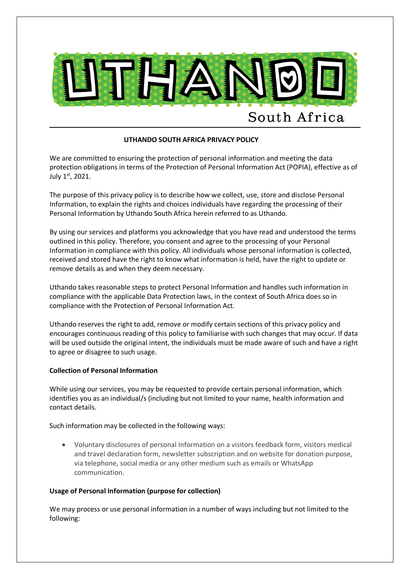

# **UTHANDO SOUTH AFRICA PRIVACY POLICY**

We are committed to ensuring the protection of personal information and meeting the data protection obligations in terms of the Protection of Personal Information Act (POPIA), effective as of July 1st, 2021.

The purpose of this privacy policy is to describe how we collect, use, store and disclose Personal Information, to explain the rights and choices individuals have regarding the processing of their Personal Information by Uthando South Africa herein referred to as Uthando.

By using our services and platforms you acknowledge that you have read and understood the terms outlined in this policy. Therefore, you consent and agree to the processing of your Personal Information in compliance with this policy. All individuals whose personal information is collected, received and stored have the right to know what information is held, have the right to update or remove details as and when they deem necessary.

Uthando takes reasonable steps to protect Personal Information and handles such information in compliance with the applicable Data Protection laws, in the context of South Africa does so in compliance with the Protection of Personal Information Act.

Uthando reserves the right to add, remove or modify certain sections of this privacy policy and encourages continuous reading of this policy to familiarise with such changes that may occur. If data will be used outside the original intent, the individuals must be made aware of such and have a right to agree or disagree to such usage.

### **Collection of Personal Information**

While using our services, you may be requested to provide certain personal information, which identifies you as an individual/s (including but not limited to your name, health information and contact details.

Such information may be collected in the following ways:

• Voluntary disclosures of personal Information on a visitors feedback form, visitors medical and travel declaration form, newsletter subscription and on website for donation purpose, via telephone, social media or any other medium such as emails or WhatsApp communication.

## **Usage of Personal Information (purpose for collection)**

We may process or use personal information in a number of ways including but not limited to the following: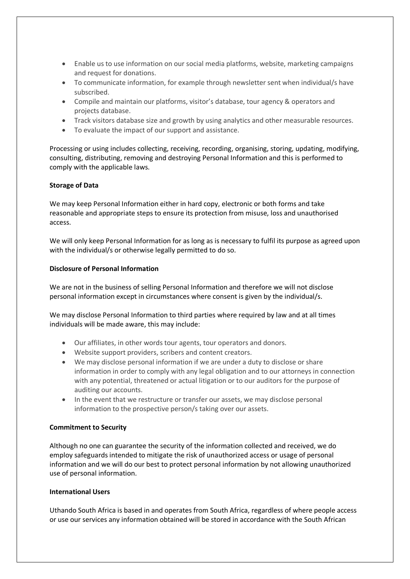- Enable us to use information on our social media platforms, website, marketing campaigns and request for donations.
- To communicate information, for example through newsletter sent when individual/s have subscribed.
- Compile and maintain our platforms, visitor's database, tour agency & operators and projects database.
- Track visitors database size and growth by using analytics and other measurable resources.
- To evaluate the impact of our support and assistance.

Processing or using includes collecting, receiving, recording, organising, storing, updating, modifying, consulting, distributing, removing and destroying Personal Information and this is performed to comply with the applicable laws.

### **Storage of Data**

We may keep Personal Information either in hard copy, electronic or both forms and take reasonable and appropriate steps to ensure its protection from misuse, loss and unauthorised access.

We will only keep Personal Information for as long as is necessary to fulfil its purpose as agreed upon with the individual/s or otherwise legally permitted to do so.

### **Disclosure of Personal Information**

We are not in the business of selling Personal Information and therefore we will not disclose personal information except in circumstances where consent is given by the individual/s.

We may disclose Personal Information to third parties where required by law and at all times individuals will be made aware, this may include:

- Our affiliates, in other words tour agents, tour operators and donors.
- Website support providers, scribers and content creators.
- We may disclose personal information if we are under a duty to disclose or share information in order to comply with any legal obligation and to our attorneys in connection with any potential, threatened or actual litigation or to our auditors for the purpose of auditing our accounts.
- In the event that we restructure or transfer our assets, we may disclose personal information to the prospective person/s taking over our assets.

### **Commitment to Security**

Although no one can guarantee the security of the information collected and received, we do employ safeguards intended to mitigate the risk of unauthorized access or usage of personal information and we will do our best to protect personal information by not allowing unauthorized use of personal information.

### **International Users**

Uthando South Africa is based in and operates from South Africa, regardless of where people access or use our services any information obtained will be stored in accordance with the South African